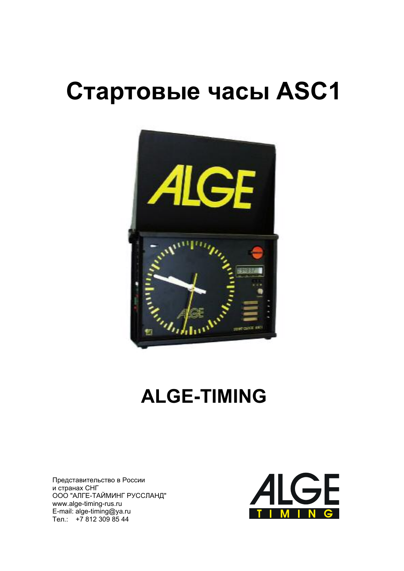# Стартовые часы ASC1



## **ALGE-TIMING**

Представительство в России и странах СНГ ООО "АЛГЕ-ТАЙМИНГ РУССЛАНД" www.alge-timing-rus.ru E-mail: alge-timing@ya.ru Тел.: +7 812 309 85 44

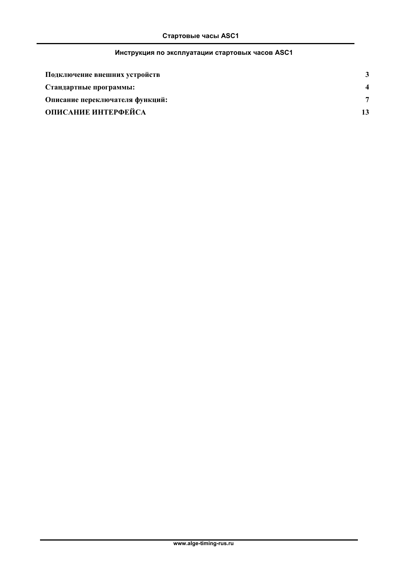## Инструкция по эксплуатации стартовых часов ASC1

| Подключение внешних устройств   |  |
|---------------------------------|--|
| Стандартные программы:          |  |
| Описание переключателя функций: |  |
| ОПИСАНИЕ ИНТЕРФЕЙСА             |  |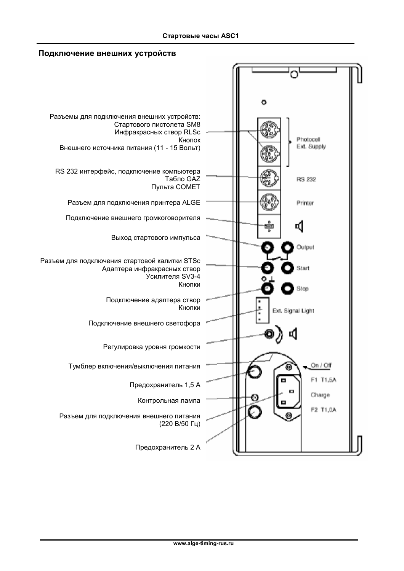#### Подключение внешних устройств

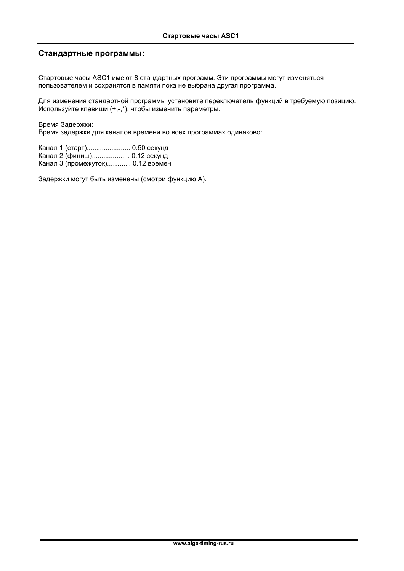#### Стандартные программы:

Стартовые часы ASC1 имеют 8 стандартных программ. Эти программы могут изменяться пользователем и сохранятся в памяти пока не выбрана другая программа.

Для изменения стандартной программы установите переключатель функций в требуемую позицию. Используйте клавиши (+,-,\*), чтобы изменить параметры.

Время Задержки:

Время задержки для каналов времени во всех программах одинаково:

Канал 1 (старт)....................... 0.50 секунд Канал 2 (финиш).................... 0.12 секунд Канал 3 (промежуток)............ 0.12 времен

Задержки могут быть изменены (смотри функцию А).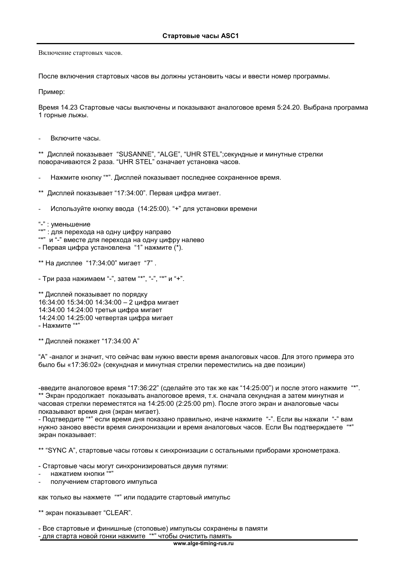Включение стартовых часов.

После включения стартовых часов вы должны установить часы и ввести номер программы.

Пример:

Время 14.23 Стартовые часы выключены и показывают аналоговое время 5:24.20. Выбрана программа 1 горные лыжы.

Включите часы.

\*\* Дисплей показывает "SUSANNE", "ALGE", "UHR STEL"; секундные и минутные стрелки поворачиваются 2 раза. "UHR STEL" означает установка часов.

Нажмите кнопку "\*". Дисплей показывает последнее сохраненное время.

\*\* Дисплей показывает "17:34:00". Первая цифра мигает.

Используйте кнопку ввода (14:25:00). "+" для установки времени

"-": уменьшение

- : для перехода на одну цифру направо
- "\*" и "-" вместе для перехода на одну цифру налево
- Первая цифра установлена "1" нажмите (\*).

\*\* На дисплее "17:34:00" мигает "7".

- Три раза нажимаем "-", затем "\*", "-", "\*" и "+".

\*\* Дисплей показывает по порядку 16:34:00 15:34:00 14:34:00 - 2 цифра мигает 14:34:00 14:24:00 третья цифра мигает 14:24:00 14:25:00 четвертая цифра мигает - Нажмите "\*"

\*\* Дисплей покажет "17:34:00 А"

"А" -аналог и значит, что сейчас вам нужно ввести время аналоговых часов. Для этого примера это было бы «17:36:02» (секундная и минутная стрелки переместились на две позиции)

-введите аналоговое время "17:36:22" (сделайте это так же как "14:25:00") и после этого нажмите "\*". \*\* Экран продолжает показывать аналоговое время, т.к. сначала секундная а затем минутная и часовая стрелки переместятся на 14:25:00 (2:25:00 pm). После этого экран и аналоговые часы показывают время дня (экран мигает).

- Подтвердите "\*" если время дня показано правильно, иначе нажмите "-". Если вы нажали "-" вам нужно заново ввести время синхронизации и время аналоговых часов. Если Вы подтверждаете "\*" экран показывает:

\*\* "SYNC A", стартовые часы готовы к синхронизации с остальными приборами хронометража.

- Стартовые часы могут синхронизироваться двумя путями:

- нажатием кнопки "\*"
- получением стартового импульса

как только вы нажмете "\*" или подадите стартовый импульс

\*\* экран показывает "CLEAR".

- Все стартовые и финишные (стоповые) импульсы сохранены в памяти

- для старта новой гонки нажмите "\*" чтобы очистить память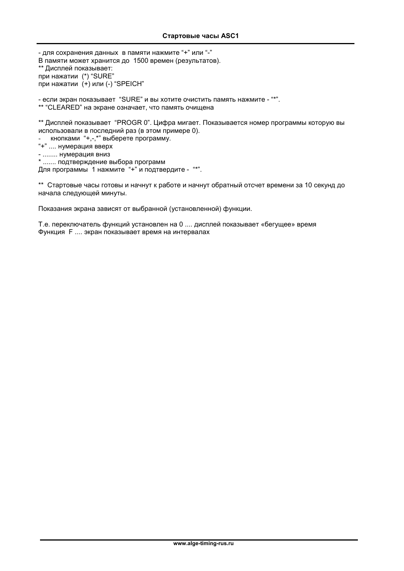- для сохранения данных в памяти нажмите "+" или "-" В памяти может хранится до 1500 времен (результатов). \*\* Дисплей показывает: при нажатии (\*) "SURE" при нажатии (+) или (-) "SPEICH"

- если экран показывает "SURE" и вы хотите очистить память нажмите - "\*". \*\* "CLEARED" на экране означает, что память очищена

\*\* Дисплей показывает "PROGR 0". Цифра мигает. Показывается номер программы которую вы использовали в последний раз (в этом примере 0).

- кнопками "+,-,\*" выберете программу.

- "+" .... нумерация вверх
- ........ нумерация вниз

\* ...... подтверждение выбора программ

Для программы 1 нажмите "+" и подтвердите - "\*".

\*\* Стартовые часы готовы и начнут к работе и начнут обратный отсчет времени за 10 секунд до начала следующей минуты.

Показания экрана зависят от выбранной (установленной) функции.

Т.е. переключатель функций установлен на 0 .... дисплей показывает «бегущее» время Функция F .... экран показывает время на интервалах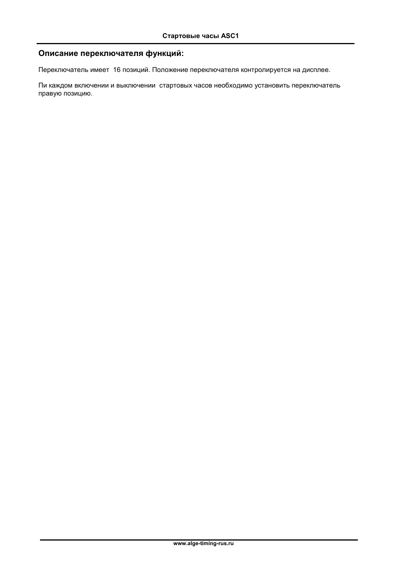## Описание переключателя функций:

Переключатель имеет 16 позиций. Положение переключателя контролируется на дисплее.

Пи каждом включении и выключении стартовых часов необходимо установить переключатель правую позицию.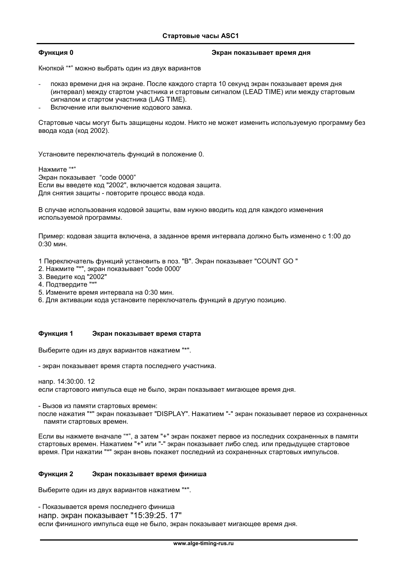#### Функция 0

#### Экран показывает время дня

Кнопкой "\*" можно выбрать один из двух вариантов

- показ времени дня на экране. После каждого старта 10 секунд экран показывает время дня (интервал) между стартом участника и стартовым сигналом (LEAD TIME) или между стартовым сигналом и стартом участника (LAG TIME).
- Включение или выключение кодового замка.

Стартовые часы могут быть зашишены кодом. Никто не может изменить используемую программу без ввода кода (код 2002).

Установите переключатель функций в положение 0.

Нажмите "\*"

Экран показывает "code 0000" Если вы введете код "2002", включается кодовая защита. Для снятия защиты - повторите процесс ввода кода.

В случае использования кодовой защиты, вам нужно вводить код для каждого изменения используемой программы.

Пример: кодовая защита включена, а заданное время интервала должно быть изменено с 1:00 до  $0:30$  мин.

- 1 Переключатель функций установить в поз. "В". Экран показывает "COUNT GO "
- 2. Нажмите "\*", экран показывает "code 0000'
- 3. Введите код "2002"
- 4. Подтвердите "\*"
- 5. Измените время интервала на 0:30 мин.
- 6. Для активации кода установите переключатель функций в другую позицию.

#### Функция 1 Экран показывает время старта

Выберите один из двух вариантов нажатием "\*".

- экран показывает время старта последнего участника.

напр. 14:30:00. 12

если стартового импульса еще не было, экран показывает мигающее время дня.

- Вызов из памяти стартовых времен:

после нажатия "\*" экран показывает "DISPLAY". Нажатием "-" экран показывает первое из сохраненных памяти стартовых времен.

Если вы нажмете вначале "\*", а затем "+" экран покажет первое из последних сохраненных в памяти стартовых времен. Нажатием "+" или "-" экран показывает либо след. или предыдущее стартовое время. При нажатии "\*" экран вновь покажет последний из сохраненных стартовых импульсов.

#### Функция 2 Экран показывает время финиша

Выберите один из двух вариантов нажатием "\*".

- Показывается время последнего финиша напр. экран показывает "15:39:25. 17" если финишного импульса еще не было, экран показывает мигающее время дня.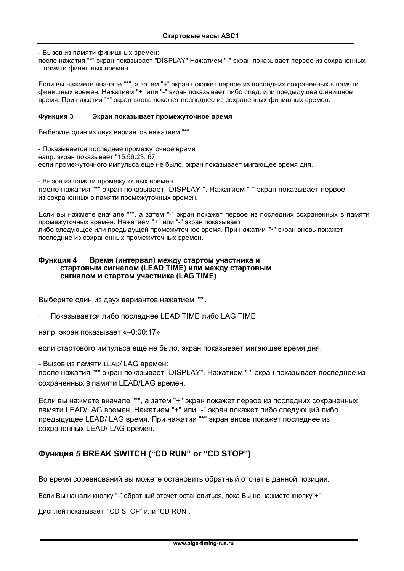- Вызов из памяти финишных времен:

после нажатия "\*" экран показывает "DISPLAY" Нажатием "-" экран показывает первое из сохраненных памяти финишных времен.

Если вы нажмете вначале "\*", а затем "+" экран покажет первое из последних сохраненных в памяти финишных времен. Нажатием "+" или "-" экран показывает либо след. или предыдущее финишное время. При нажатии "\*" экран вновь покажет последнее из сохраненных финишных времен.

#### Функция 3 Экран показывает промежуточное время

Выберите один из двух вариантов нажатием "\*".

- Показывается последнее промежуточное время напр. экран показывает "15:56:23. 67" если промежуточного импульса еще не было, экран показывает мигающее время дня.

- Вызов из памяти промежуточных времен после нажатия "\*" экран показывает "DISPLAY ". Нажатием "-" экран показывает первое из сохраненных в памяти промежуточных времен.

Если вы нажмете вначале "\*", а затем "-" экран покажет первое из последних сохраненных в памяти промежуточных времен. Нажатием "+" или "-" экран показывает либо следующее или предыдущей промежуточное время. При нажатии "•" экран вновь покажет последние из сохраненных промежуточных времен.

#### Функция 4 Время (интервал) между стартом участника и стартовым сигналом (LEAD TIME) или между стартовым сигналом и стартом участника (LAG TIME)

Выберите один из двух вариантов нажатием "\*".

Показывается либо последнее LEAD TIME либо LAG TIME

напр. экран показывает «-0:00:17»

если стартового импульса еще не было, экран показывает мигающее время дня.

- Вызов из памяти LEAD/ LAG времен:

после нажатия "\*" экран показывает "DISPLAY". Нажатием "-" экран показывает последнее из сохраненных в памяти LEAD/LAG времен.

Если вы нажмете вначале "\*", а затем "+" экран покажет первое из последних сохраненных памяти LEAD/LAG времен. Нажатием "+" или "-" экран покажет либо следующий либо предыдущее LEAD/ LAG время. При нажатии "\*" экран вновь покажет последнее из сохраненных LEAD/ LAG времен.

#### Функция 5 BREAK SWITCH ("CD RUN" or "CD STOP")

Во время соревнований вы можете остановить обратный отсчет в данной позиции.

Если Вы нажали кнопку "-" обратный отсчет остановиться, пока Вы не нажмете кнопку"+"

Дисплей показывает "CD STOP" или "CD RUN".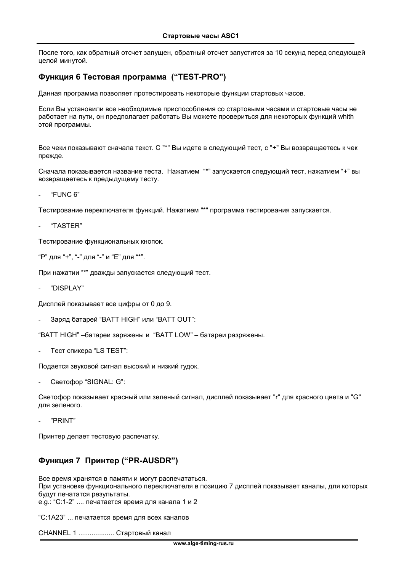После того, как обратный отсчет запущен, обратный отсчет запустится за 10 секунд перед следующей целой минутой.

#### Функция 6 Тестовая программа ("TEST-PRO")

Данная программа позволяет протестировать некоторые функции стартовых часов.

Если Вы установили все необходимые приспособления со стартовыми часами и стартовые часы не работает на пути, он предполагает работать Вы можете провериться для некоторых функций whith этой программы.

Все чеки показывают сначала текст. С "\*" Вы идете в следующий тест. с "+" Вы возвращаетесь к чек прежде.

Сначала показывается название теста. Нажатием "\*" запускается следующий тест, нажатием "+" вы возвращаетесь к предыдущему тесту.

"FUNC 6"

Тестирование переключателя функций. Нажатием "\*" программа тестирования запускается.

"TASTER"

Тестирование функциональных кнопок.

"Р" для "+", "-" для "-" и "Е" для "\*".

При нажатии "\*" дважды запускается следующий тест.

"DISPI AY"

Дисплей показывает все цифры от 0 до 9.

Заряд батарей "BATT HIGH" или "BATT OUT":

"BATT HIGH" - батареи заряжены и "BATT LOW" - батареи разряжены.

Тест спикера "LS TEST":

Подается звуковой сигнал высокий и низкий гудок.

Светофор "SIGNAL: G":

Светофор показывает красный или зеленый сигнал, дисплей показывает "г" для красного цвета и "G" для зеленого.

"PRINT"

Принтер делает тестовую распечатку.

## ФУНКЦИЯ 7 Принтер ("PR-AUSDR")

Все время хранятся в памяти и могут распечататься. При установке функционального переключателя в позицию 7 дисплей показывает каналы, для которых будут печататся результаты. е. д.: "С:1-2" .... печатается время для канала 1 и 2

"С:1А23" ... печатается время для всех каналов

**CHANNEL 1 .................. Стартовый канал**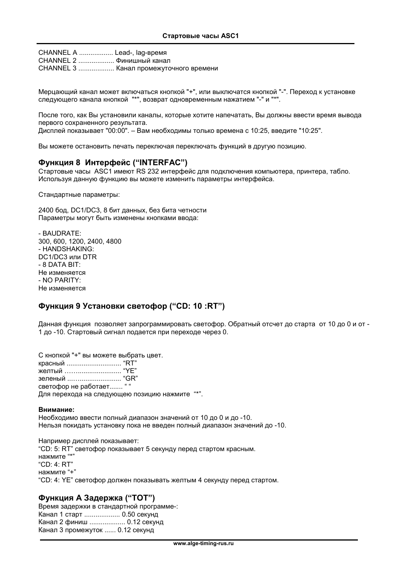CHANNEL A .................. Lead-, laq-время **CHANNEL 2 .................. Финишный канал CHANNEL 3 .................. Канал промежуточного времени** 

Мерцающий канал может включаться кнопкой "+", или выключатся кнопкой "-". Переход к установке следующего канала кнопкой "\*", возврат одновременным нажатием "-" и "\*".

После того, как Вы установили каналы, которые хотите напечатать, Вы должны ввести время вывода первого сохраненного результата.

Дисплей показывает "00:00". - Вам необходимы только времена с 10:25, введите "10:25".

Вы можете остановить печать переключая переключать функций в другую позицию.

#### ФУНКЦИЯ 8 ИНТЕРФЕЙС ("INTERFAC")

Стартовые часы ASC1 имеют RS 232 интерфейс для подключения компьютера, принтера, табло. Используя данную функцию вы можете изменить параметры интерфейса.

Стандартные параметры:

2400 бод, DC1/DC3, 8 бит данных, без бита четности Параметры могут быть изменены кнопками ввода:

- BAUDRATE: 300, 600, 1200, 2400, 4800 - HANDSHAKING: DC1/DC3 или DTR  $-$  8 DATA BIT: Не изменяется - NO PARITY: Не изменяется

#### Функция 9 Установки светофор ("CD: 10 :RT")

Данная функция позволяет запрограммировать светофор. Обратный отсчет до старта от 10 до 0 и от -1 до -10. Стартовый сигнал подается при переходе через 0.

С кнопкой "+" вы можете выбрать цвет. красный ................................... "RT" желтый ................................. "ҮЕ" зеленый ............................... "GR" светофор не работает....... " " Для перехода на следующею позицию нажмите "\*".

#### Внимание:

Необходимо ввести полный диапазон значений от 10 до 0 и до -10. Нельзя покидать установку пока не введен полный диапазон значений до -10.

Например дисплей показывает: "CD: 5: RT" светофор показывает 5 секунду перед стартом красным. нажмите "\* "CD: 4: RT" нажмите "+" "CD: 4: YE" светофор должен показывать желтым 4 секунду перед стартом.

#### Функция А Задержка ("ТОТ")

Время задержки в стандартной программе-: Канал 1 старт ................... 0.50 секунд Канал 2 финиш ................... 0.12 секунд Канал 3 промежуток ...... 0.12 секунд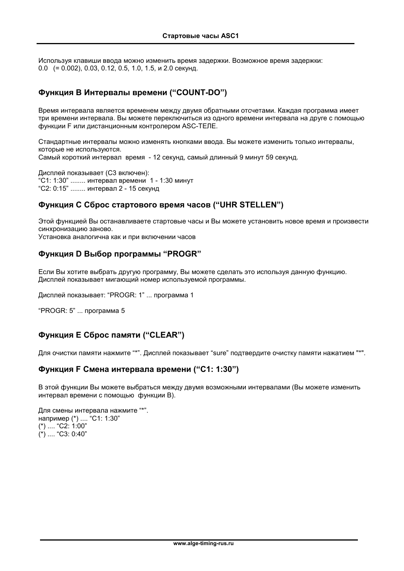Используя клавиши ввода можно изменить время задержки. Возможное время задержки:  $0.0$  (= 0.002), 0.03, 0.12, 0.5, 1.0, 1.5, и 2.0 секунд.

## Функция В Интервалы времени ("COUNT-DO")

Время интервала является временем между двумя обратными отсчетами. Каждая программа имеет три времени интервала. Вы можете переключиться из одного времени интервала на друге с помощью функции F или дистанционным контролером ASC-ТЕЛЕ.

Стандартные интервалы можно изменять кнопками ввода. Вы можете изменить только интервалы, которые не используются. Самый короткий интервал время - 12 секунд, самый длинный 9 минут 59 секунд.

Дисплей показывает (СЗ включен): "С1: 1:30" ........ интервал времени 1 - 1:30 минут "С2: 0:15" ........ интервал 2 - 15 секунд

#### ФУНКЦИЯ С Сброс стартового время часов ("UHR STELLEN")

Этой функцией Вы останавливаете стартовые часы и Вы можете установить новое время и произвести синхронизацию заново.

Установка аналогична как и при включении часов

#### Функция D Выбор программы "PROGR"

Если Вы хотите выбрать другую программу. Вы можете сделать это используя данную функцию. Дисплей показывает мигающий номер используемой программы.

Дисплей показывает: "PROGR: 1" ... программа 1

"PROGR: 5" ... программа 5

## ФУНКЦИЯ Е Сброс памяти ("CLEAR")

Для очистки памяти нажмите "\*". Дисплей показывает "sure" подтвердите очистку памяти нажатием "\*".

#### Функция F Смена интервала времени ("С1: 1:30")

В этой функции Вы можете выбраться между двумя возможными интервалами (Вы можете изменить интервал времени с помощью функции В).

Для смены интервала нажмите "\*". например (\*) .... "С1: 1:30"  $(*)$  .... "C2: 1:00"  $(*)$  .... "C3: 0:40"